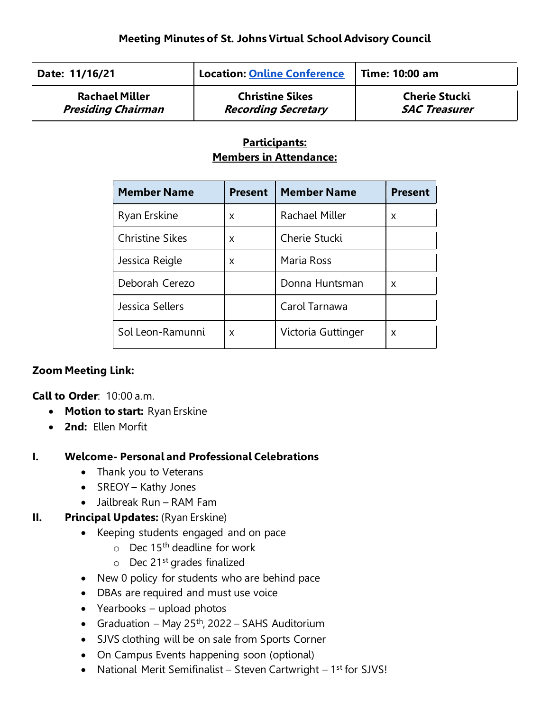| Date: 11/16/21            | <b>Location: Online Conference</b> | <b>Time: 10:00 am</b> |
|---------------------------|------------------------------------|-----------------------|
| <b>Rachael Miller</b>     | <b>Christine Sikes</b>             | <b>Cherie Stucki</b>  |
| <b>Presiding Chairman</b> | <b>Recording Secretary</b>         | <b>SAC Treasurer</b>  |

### **Participants: Members in Attendance:**

| <b>Member Name</b>     | <b>Present</b> | <b>Member Name</b> | <b>Present</b> |
|------------------------|----------------|--------------------|----------------|
| Ryan Erskine           | x              | Rachael Miller     | x              |
| <b>Christine Sikes</b> | X              | Cherie Stucki      |                |
| Jessica Reigle         | x              | Maria Ross         |                |
| Deborah Cerezo         |                | Donna Huntsman     | x              |
| Jessica Sellers        |                | Carol Tarnawa      |                |
| Sol Leon-Ramunni       | x              | Victoria Guttinger | x              |

# **Zoom Meeting Link:**

**Call to Order**: 10:00 a.m.

- **Motion to start:** Ryan Erskine
- **2nd:** Ellen Morfit

# **I. Welcome- Personal and Professional Celebrations**

- Thank you to Veterans
- SREOY Kathy Jones
- Jailbreak Run RAM Fam

#### **II. Principal Updates:** (Ryan Erskine)

- Keeping students engaged and on pace
	- $\circ$  Dec 15<sup>th</sup> deadline for work
	- $\circ$  Dec 21<sup>st</sup> grades finalized
- New 0 policy for students who are behind pace
- DBAs are required and must use voice
- Yearbooks upload photos
- Graduation May 25<sup>th</sup>, 2022 SAHS Auditorium
- SJVS clothing will be on sale from Sports Corner
- On Campus Events happening soon (optional)
- National Merit Semifinalist Steven Cartwright 1<sup>st</sup> for SJVS!